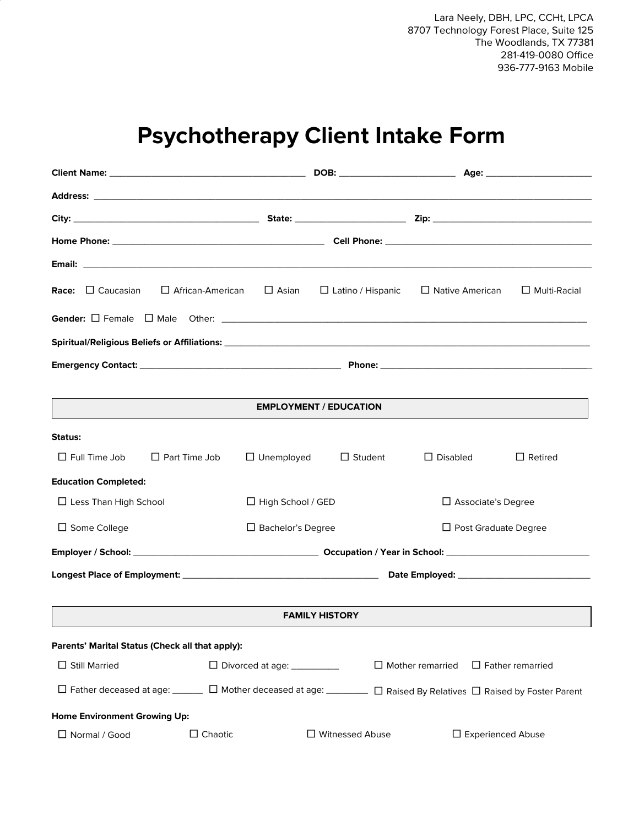Lara Neely, DBH, LPC, CCHt, LPCA 8707 Technology Forest Place, Suite 125 The Woodlands, TX 77381 281-419-0080 Office 936-777-9163 Mobile

## **Psychotherapy Client Intake Form**

|                                                                                                     |                      |                              |                               |                           | Age: _______________________ |
|-----------------------------------------------------------------------------------------------------|----------------------|------------------------------|-------------------------------|---------------------------|------------------------------|
|                                                                                                     |                      |                              |                               |                           |                              |
|                                                                                                     |                      |                              |                               |                           |                              |
|                                                                                                     |                      |                              |                               |                           |                              |
|                                                                                                     |                      |                              |                               |                           |                              |
| <b>Race:</b> $\Box$ Caucasian                                                                       | □ African-American   | $\square$ Asian              | $\Box$ Latino / Hispanic      | $\Box$ Native American    | $\Box$ Multi-Racial          |
|                                                                                                     |                      |                              |                               |                           |                              |
|                                                                                                     |                      |                              |                               |                           |                              |
|                                                                                                     |                      |                              |                               |                           |                              |
|                                                                                                     |                      |                              |                               |                           |                              |
|                                                                                                     |                      |                              | <b>EMPLOYMENT / EDUCATION</b> |                           |                              |
| Status:                                                                                             |                      |                              |                               |                           |                              |
| $\Box$ Full Time Job                                                                                | $\Box$ Part Time Job | $\Box$ Unemployed            | $\Box$ Student                | $\Box$ Disabled           | $\Box$ Retired               |
| <b>Education Completed:</b>                                                                         |                      |                              |                               |                           |                              |
| $\Box$ Less Than High School                                                                        |                      | $\Box$ High School / GED     |                               | $\Box$ Associate's Degree |                              |
| $\Box$ Some College                                                                                 |                      | $\Box$ Bachelor's Degree     |                               | □ Post Graduate Degree    |                              |
|                                                                                                     |                      |                              |                               |                           |                              |
|                                                                                                     |                      |                              |                               |                           |                              |
|                                                                                                     |                      |                              |                               |                           |                              |
|                                                                                                     |                      |                              | <b>FAMILY HISTORY</b>         |                           |                              |
| Parents' Marital Status (Check all that apply):                                                     |                      |                              |                               |                           |                              |
| $\Box$ Still Married                                                                                |                      | □ Divorced at age: _________ |                               | $\Box$ Mother remarried   | $\Box$ Father remarried      |
| □ Father deceased at age: □ Mother deceased at age: □ Raised By Relatives □ Raised by Foster Parent |                      |                              |                               |                           |                              |
| <b>Home Environment Growing Up:</b>                                                                 |                      |                              |                               |                           |                              |
| □ Normal / Good                                                                                     | $\Box$ Chaotic       |                              | □ Witnessed Abuse             | □ Experienced Abuse       |                              |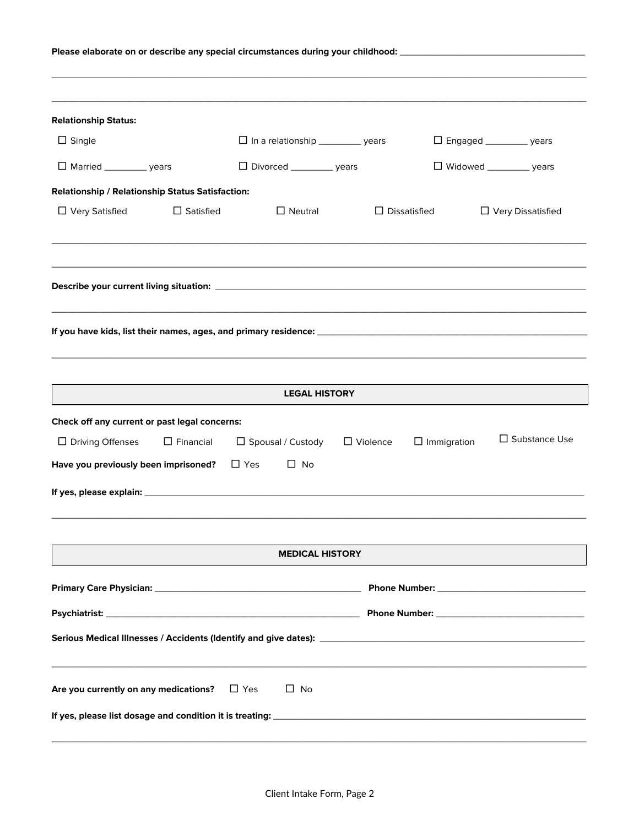| Please elaborate on or describe any special circumstances during your childhood: _____________________________ |                  |                                          |                     |                                    |
|----------------------------------------------------------------------------------------------------------------|------------------|------------------------------------------|---------------------|------------------------------------|
|                                                                                                                |                  |                                          |                     |                                    |
| <b>Relationship Status:</b>                                                                                    |                  |                                          |                     |                                    |
| $\Box$ Single                                                                                                  |                  | □ In a relationship ___________ years    |                     | □ Engaged __________ years         |
| $\Box$ Married ______________ years                                                                            |                  | $\Box$ Divorced __________ years         |                     | $\Box$ Widowed _____________ years |
| Relationship / Relationship Status Satisfaction:                                                               |                  |                                          |                     |                                    |
| $\Box$ Very Satisfied                                                                                          | $\Box$ Satisfied | $\Box$ Neutral                           | $\Box$ Dissatisfied | □ Very Dissatisfied                |
|                                                                                                                |                  |                                          |                     |                                    |
|                                                                                                                |                  |                                          |                     |                                    |
|                                                                                                                |                  | <b>LEGAL HISTORY</b>                     |                     |                                    |
| Check off any current or past legal concerns:                                                                  |                  |                                          |                     |                                    |
| $\Box$ Driving Offenses                                                                                        | $\Box$ Financial | $\Box$ Spousal / Custody $\Box$ Violence | $\Box$ Immigration  | $\Box$ Substance Use               |
| Have you previously been imprisoned?                                                                           |                  | $\Box$ Yes<br>$\Box$ No                  |                     |                                    |
|                                                                                                                |                  |                                          |                     |                                    |
|                                                                                                                |                  | <b>MEDICAL HISTORY</b>                   |                     |                                    |
|                                                                                                                |                  |                                          |                     |                                    |
|                                                                                                                |                  |                                          |                     |                                    |
|                                                                                                                |                  |                                          |                     |                                    |
| Are you currently on any medications? $\square$ Yes                                                            |                  | $\Box$ No                                |                     |                                    |
|                                                                                                                |                  |                                          |                     |                                    |